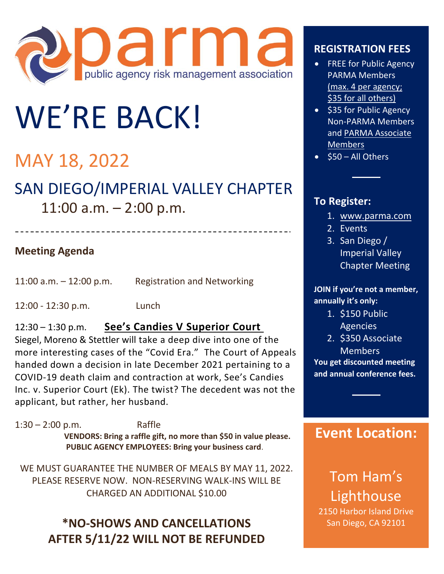

# WE'RE BACK!

# MAY 18, 2022

# SAN DIEGO/IMPERIAL VALLEY CHAPTER 11:00 a.m. – 2:00 p.m.

**Meeting Agenda**

11:00 a.m. – 12:00 p.m. Registration and Networking

12:00 - 12:30 p.m. Lunch

#### 12:30 – 1:30 p.m. **See's Candies V Superior Court**

Siegel, Moreno & Stettler will take a deep dive into one of the more interesting cases of the "Covid Era." The Court of Appeals handed down a decision in late December 2021 pertaining to a COVID-19 death claim and contraction at work, See's Candies Inc. v. Superior Court (Ek). The twist? The decedent was not the applicant, but rather, her husband.

1:30 – 2:00 p.m. Raffle **VENDORS: Bring a raffle gift, no more than \$50 in value please. PUBLIC AGENCY EMPLOYEES: Bring your business card**.

WE MUST GUARANTEE THE NUMBER OF MEALS BY MAY 11, 2022. PLEASE RESERVE NOW. NON-RESERVING WALK-INS WILL BE CHARGED AN ADDITIONAL \$10.00

## **\*NO-SHOWS AND CANCELLATIONS AFTER 5/11/22 WILL NOT BE REFUNDED**

### **REGISTRATION FEES**

- FREE for Public Agency PARMA Members (max. 4 per agency; \$35 for all others)
- \$35 for Public Agency Non-PARMA Members and PARMA Associate Members
- \$50 All Others

#### **To Register:**

- 1. [www.parma.com](http://www.parma.com/)
- 2. Events
- 3. San Diego / Imperial Valley Chapter Meeting

**JOIN if you're not a member, annually it's only:** 

- 1. \$150 Public Agencies
- 2. \$350 Associate Members

**You get discounted meeting and annual conference fees.**

## **Event Location:**

Tom Ham's Lighthouse

2150 Harbor Island Drive San Diego, CA 92101